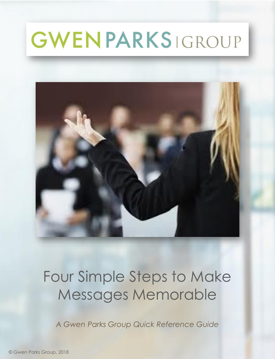

### Four Simple Steps to Make Messages Memorable

*A Gwen Parks Group Quick Reference Guide*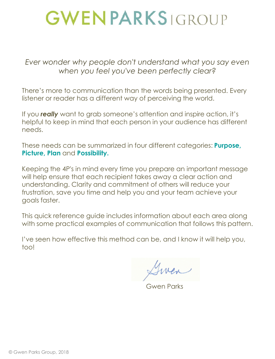*Ever wonder why people don't understand what you say even when you feel you've been perfectly clear?*

There's more to communication than the words being presented. Every listener or reader has a different way of perceiving the world.

If you *really* want to grab someone's attention and inspire action, it's helpful to keep in mind that each person in your audience has different needs.

These needs can be summarized in four different categories: **Purpose, Picture, Plan** and **Possibility.** 

Keeping the 4P's in mind every time you prepare an important message will help ensure that each recipient takes away a clear action and understanding. Clarity and commitment of others will reduce your frustration, save you time and help you and your team achieve your goals faster.

This quick reference guide includes information about each area along with some practical examples of communication that follows this pattern.

I've seen how effective this method can be, and I know it will help you, too!

Gwen Parks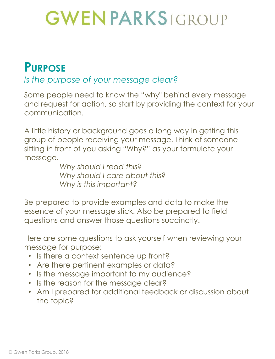### **PURPOSE**

#### *Is the purpose of your message clear?*

Some people need to know the "why" behind every message and request for action, so start by providing the context for your communication.

A little history or background goes a long way in getting this group of people receiving your message. Think of someone sitting in front of you asking "Why?" as your formulate your message.

*Why should I read this? Why should I care about this? Why is this important?*

Be prepared to provide examples and data to make the essence of your message stick. Also be prepared to field questions and answer those questions succinctly.

Here are some questions to ask yourself when reviewing your message for purpose:

- Is there a context sentence up front?
- Are there pertinent examples or data?
- Is the message important to my audience?
- Is the reason for the message clear?
- Am I prepared for additional feedback or discussion about the topic?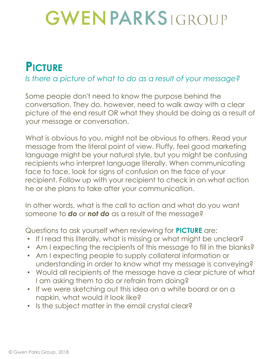### **PICTURE**

#### *Is there a picture of what to do as a result of your message?*

Some people don't need to know the purpose behind the conversation. They do, however, need to walk away with a clear picture of the end result OR what they should be doing as a result of your message or conversation.

What is obvious to you, might not be obvious to others. Read your message from the literal point of view. Fluffy, feel good marketing language might be your natural style, but you might be confusing recipients who interpret language literally. When communicating face to face, look for signs of confusion on the face of your recipient. Follow up with your recipient to check in on what action he or she plans to take after your communication.

In other words, what is the call to action and what do you want someone to *do* or *not do* as a result of the message?

Questions to ask yourself when reviewing for **PICTURE** are:

- If I read this literally, what is missing or what might be unclear?
- Am I expecting the recipients of this message to fill in the blanks?
- Am I expecting people to supply collateral information or understanding in order to know what my message is conveying?
- Would all recipients of the message have a clear picture of what I am asking them to do or refrain from doing?
- If we were sketching out this idea on a white board or on a napkin, what would it look like?
- Is the subject matter in the email crystal clear?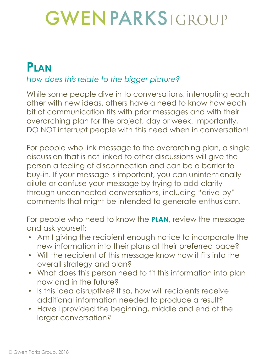#### **PLAN**

#### *How does this relate to the bigger picture?*

While some people dive in to conversations, interrupting each other with new ideas, others have a need to know how each bit of communication fits with prior messages and with their overarching plan for the project, day or week. Importantly, DO NOT interrupt people with this need when in conversation!

For people who link message to the overarching plan, a single discussion that is not linked to other discussions will give the person a feeling of disconnection and can be a barrier to buy-in. If your message is important, you can unintentionally dilute or confuse your message by trying to add clarity through unconnected conversations, including "drive-by" comments that might be intended to generate enthusiasm.

For people who need to know the **PLAN**, review the message and ask yourself:

- Am I giving the recipient enough notice to incorporate the new information into their plans at their preferred pace?
- Will the recipient of this message know how it fits into the overall strategy and plan?
- What does this person need to fit this information into plan now and in the future?
- Is this idea disruptive? If so, how will recipients receive additional information needed to produce a result?
- Have I provided the beginning, middle and end of the larger conversation?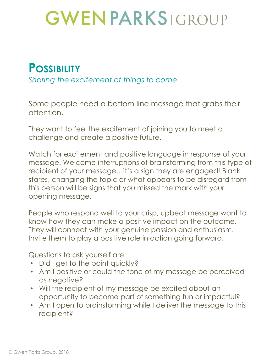#### **POSSIBILITY**

*Sharing the excitement of things to come.*

Some people need a bottom line message that grabs their attention.

They want to feel the excitement of joining you to meet a challenge and create a positive future.

Watch for excitement and positive language in response of your message. Welcome interruptions of brainstorming from this type of recipient of your message…it's a sign they are engaged! Blank stares, changing the topic or what appears to be disregard from this person will be signs that you missed the mark with your opening message.

People who respond well to your crisp, upbeat message want to know how they can make a positive impact on the outcome. They will connect with your genuine passion and enthusiasm. Invite them to play a positive role in action going forward.

Questions to ask yourself are:

- Did I get to the point quickly?
- Am I positive or could the tone of my message be perceived as negative?
- Will the recipient of my message be excited about an opportunity to become part of something fun or impactful?
- Am I open to brainstorming while I deliver the message to this recipient?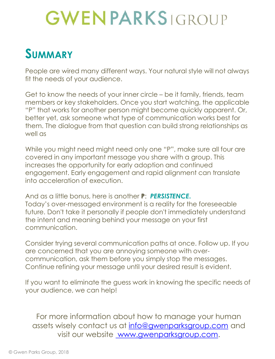### **SUMMARY**

People are wired many different ways. Your natural style will not always fit the needs of your audience.

Get to know the needs of your inner circle – be it family, friends, team members or key stakeholders. Once you start watching, the applicable "P" that works for another person might become quickly apparent. Or, better yet, ask someone what type of communication works best for them. The dialogue from that question can build strong relationships as well as

While you might need might need only one "P", make sure all four are covered in any important message you share with a group. This increases the opportunity for early adoption and continued engagement. Early engagement and rapid alignment can translate into acceleration of execution.

And as a little bonus, here is another **P**: *PERSISTENCE***.** Today's over-messaged environment is a reality for the foreseeable future. Don't take it personally if people don't immediately understand the intent and meaning behind your message on your first communication.

Consider trying several communication paths at once. Follow up. If you are concerned that you are annoying someone with overcommunication, ask them before you simply stop the messages. Continue refining your message until your desired result is evident.

If you want to eliminate the guess work in knowing the specific needs of your audience, we can help!

For more information about how to manage your human assets wisely contact us at [info@gwenparksgroup.com](mailto:info@gwenparksgroup.com) and visit our website [www.gwenparksgroup.com](http://www.gwenparksgroup.com/).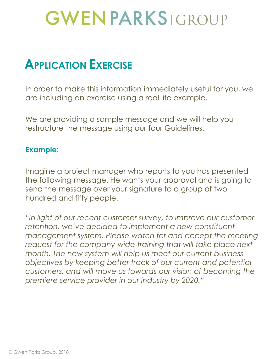### **APPLICATION EXERCISE**

In order to make this information immediately useful for you, we are including an exercise using a real life example.

We are providing a sample message and we will help you restructure the message using our four Guidelines.

#### **Example:**

Imagine a project manager who reports to you has presented the following message. He wants your approval and is going to send the message over your signature to a group of two hundred and fifty people.

*"In light of our recent customer survey, to improve our customer retention, we've decided to implement a new constituent management system. Please watch for and accept the meeting request for the company-wide training that will take place next month. The new system will help us meet our current business objectives by keeping better track of our current and potential customers, and will move us towards our vision of becoming the premiere service provider in our industry by 2020."*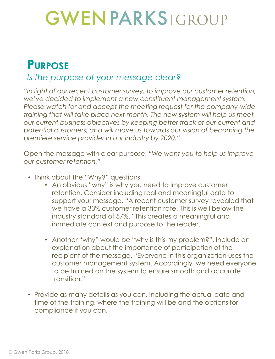#### **PURPOSE**

#### *Is the purpose of your message clear?*

*"In light of our recent customer survey, to improve our customer retention, we've decided to implement a new constituent management system. Please watch for and accept the meeting request for the company-wide training that will take place next month. The new system will help us meet our current business objectives by keeping better track of our current and potential customers, and will move us towards our vision of becoming the premiere service provider in our industry by 2020."*

Open the message with clear purpose: *"We want you to help us improve our customer retention."*

- Think about the "Why?" questions.
	- An obvious "why" is why you need to improve customer retention. Consider including real and meaningful data to support your message. "A recent customer survey revealed that we have a 33% customer retention rate. This is well below the industry standard of 57%." This creates a meaningful and immediate context and purpose to the reader.
	- Another "why" would be "why is this my problem?". Include an explanation about the importance of participation of the recipient of the message. "Everyone in this organization uses the customer management system. Accordingly, we need everyone to be trained on the system to ensure smooth and accurate transition."
- Provide as many details as you can, including the actual date and time of the training, where the training will be and the options for compliance if you can.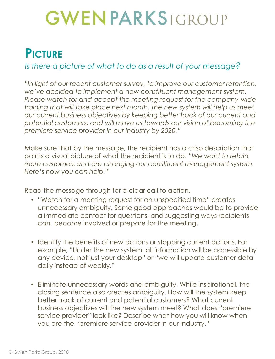### **PICTURE**

#### *Is there a picture of what to do as a result of your message?*

*"In light of our recent customer survey, to improve our customer retention, we've decided to implement a new constituent management system. Please watch for and accept the meeting request for the company-wide training that will take place next month. The new system will help us meet our current business objectives by keeping better track of our current and potential customers, and will move us towards our vision of becoming the premiere service provider in our industry by 2020."*

Make sure that by the message, the recipient has a crisp description that paints a visual picture of what the recipient is to do. *"We want to retain more customers and are changing our constituent management system. Here's how you can help."*

Read the message through for a clear call to action.

- "Watch for a meeting request for an unspecified time" creates unnecessary ambiguity. Some good approaches would be to provide a immediate contact for questions, and suggesting ways recipients can become involved or prepare for the meeting.
- Identify the benefits of new actions or stopping current actions. For example, "Under the new system, all information will be accessible by any device, not just your desktop" or "we will update customer data daily instead of weekly."
- Eliminate unnecessary words and ambiguity. While inspirational, the closing sentence also creates ambiguity. How will the system keep better track of current and potential customers? What current business objectives will the new system meet? What does "premiere service provider" look like? Describe what how you will know when you are the "premiere service provider in our industry."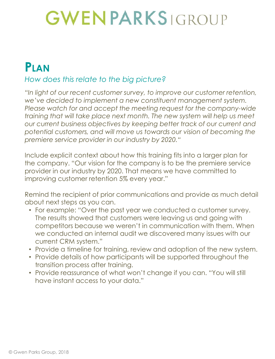#### **PLAN** *How does this relate to the big picture?*

*"In light of our recent customer survey, to improve our customer retention, we've decided to implement a new constituent management system. Please watch for and accept the meeting request for the company-wide training that will take place next month. The new system will help us meet our current business objectives by keeping better track of our current and potential customers, and will move us towards our vision of becoming the premiere service provider in our industry by 2020."*

Include explicit context about how this training fits into a larger plan for the company. "Our vision for the company is to be the premiere service provider in our industry by 2020. That means we have committed to improving customer retention 5% every year."

Remind the recipient of prior communications and provide as much detail about next steps as you can.

- For example: "Over the past year we conducted a customer survey. The results showed that customers were leaving us and going with competitors because we weren't in communication with them. When we conducted an internal audit we discovered many issues with our current CRM system."
- Provide a timeline for training, review and adoption of the new system.
- Provide details of how participants will be supported throughout the transition process after training.
- Provide reassurance of what won't change if you can. "You will still have instant access to your data."